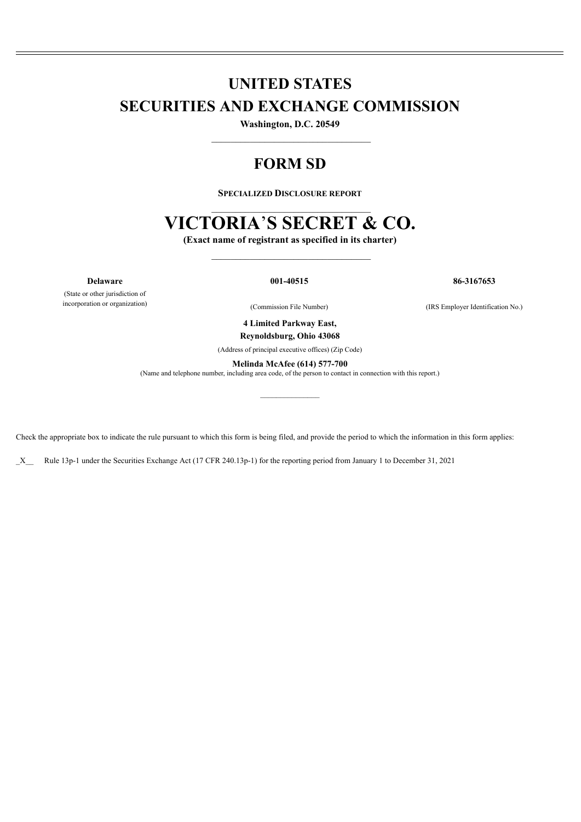# **UNITED STATES SECURITIES AND EXCHANGE COMMISSION**

**Washington, D.C. 20549** \_\_\_\_\_\_\_\_\_\_\_\_\_\_\_\_\_\_\_\_\_\_\_\_\_\_\_\_\_\_\_\_\_

# **FORM SD**

**SPECIALIZED DISCLOSURE REPORT**

# **VICTORIA**'**S SECRET & CO.**

**(Exact name of registrant as specified in its charter)**  $\mathcal{L}=\mathcal{L}=\mathcal{L}=\mathcal{L}=\mathcal{L}=\mathcal{L}=\mathcal{L}=\mathcal{L}=\mathcal{L}=\mathcal{L}=\mathcal{L}=\mathcal{L}=\mathcal{L}=\mathcal{L}=\mathcal{L}=\mathcal{L}=\mathcal{L}=\mathcal{L}=\mathcal{L}=\mathcal{L}=\mathcal{L}=\mathcal{L}=\mathcal{L}=\mathcal{L}=\mathcal{L}=\mathcal{L}=\mathcal{L}=\mathcal{L}=\mathcal{L}=\mathcal{L}=\mathcal{L}=\mathcal{L}=\mathcal{L}=\mathcal{L}=\mathcal{L}=\mathcal{L}=\mathcal{$ 

(State or other jurisdiction of incorporation or organization)

**Delaware 001-40515 86-3167653**

(Commission File Number) (IRS Employer Identification No.)

**4 Limited Parkway East, Reynoldsburg, Ohio 43068**

(Address of principal executive offices) (Zip Code)

**Melinda McAfee (614) 577-700**

 $\mathcal{L}_\text{max}$  and  $\mathcal{L}_\text{max}$ 

(Name and telephone number, including area code, of the person to contact in connection with this report.)

Check the appropriate box to indicate the rule pursuant to which this form is being filed, and provide the period to which the information in this form applies:

\_X\_\_ Rule 13p-1 under the Securities Exchange Act (17 CFR 240.13p-1) for the reporting period from January 1 to December 31, 2021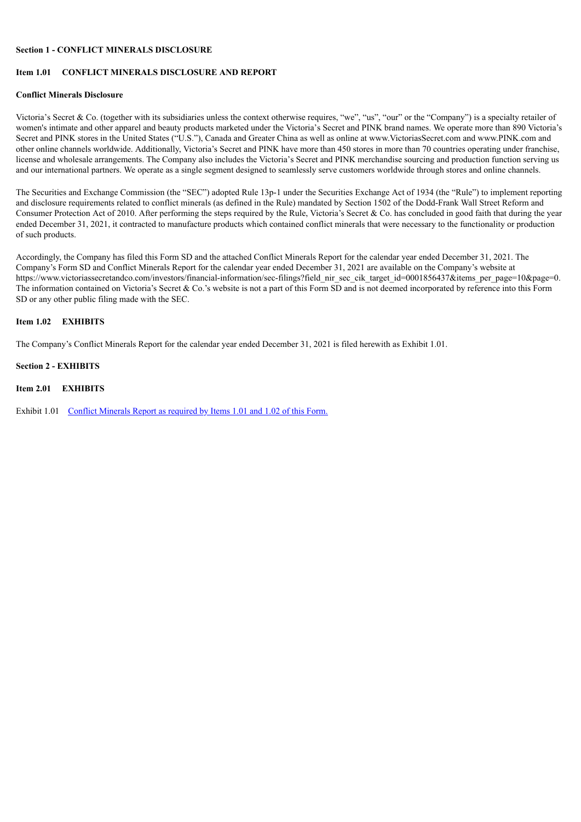# **Section 1 - CONFLICT MINERALS DISCLOSURE**

# **Item 1.01 CONFLICT MINERALS DISCLOSURE AND REPORT**

#### **Conflict Minerals Disclosure**

Victoria's Secret & Co. (together with its subsidiaries unless the context otherwise requires, "we", "us", "our" or the "Company") is a specialty retailer of women's intimate and other apparel and beauty products marketed under the Victoria's Secret and PINK brand names. We operate more than 890 Victoria's Secret and PINK stores in the United States ("U.S."), Canada and Greater China as well as online at www.VictoriasSecret.com and www.PINK.com and other online channels worldwide. Additionally, Victoria's Secret and PINK have more than 450 stores in more than 70 countries operating under franchise, license and wholesale arrangements. The Company also includes the Victoria's Secret and PINK merchandise sourcing and production function serving us and our international partners. We operate as a single segment designed to seamlessly serve customers worldwide through stores and online channels.

The Securities and Exchange Commission (the "SEC") adopted Rule 13p-1 under the Securities Exchange Act of 1934 (the "Rule") to implement reporting and disclosure requirements related to conflict minerals (as defined in the Rule) mandated by Section 1502 of the Dodd-Frank Wall Street Reform and Consumer Protection Act of 2010. After performing the steps required by the Rule, Victoria's Secret & Co. has concluded in good faith that during the year ended December 31, 2021, it contracted to manufacture products which contained conflict minerals that were necessary to the functionality or production of such products.

Accordingly, the Company has filed this Form SD and the attached Conflict Minerals Report for the calendar year ended December 31, 2021. The Company's Form SD and Conflict Minerals Report for the calendar year ended December 31, 2021 are available on the Company's website at https://www.victoriassecretandco.com/investors/financial-information/sec-filings?field\_nir\_sec\_cik\_target\_id=0001856437&items\_per\_page=10&page=0. The information contained on Victoria's Secret & Co.'s website is not a part of this Form SD and is not deemed incorporated by reference into this Form SD or any other public filing made with the SEC.

# **Item 1.02 EXHIBITS**

The Company's Conflict Minerals Report for the calendar year ended December 31, 2021 is filed herewith as Exhibit 1.01.

#### **Section 2 - EXHIBITS**

### **Item 2.01 EXHIBITS**

Exhibit 1.01 Conflict [Minerals](#page-3-0) Report as required by Items 1.01 and 1.02 of this Form.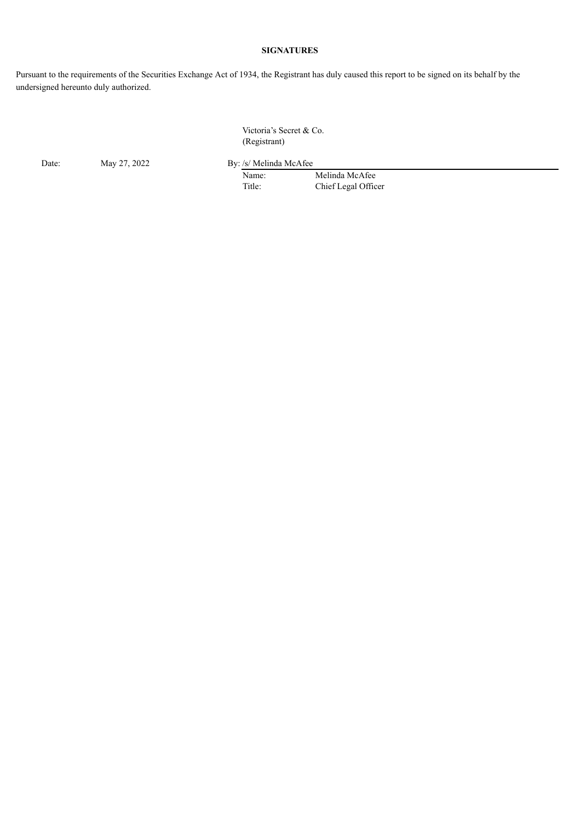# **SIGNATURES**

Pursuant to the requirements of the Securities Exchange Act of 1934, the Registrant has duly caused this report to be signed on its behalf by the undersigned hereunto duly authorized.

> Victoria's Secret & Co. (Registrant)

Date: May 27, 2022 By: /s/ Melinda McAfee

Name: Melinda McAfee Title: Chief Legal Officer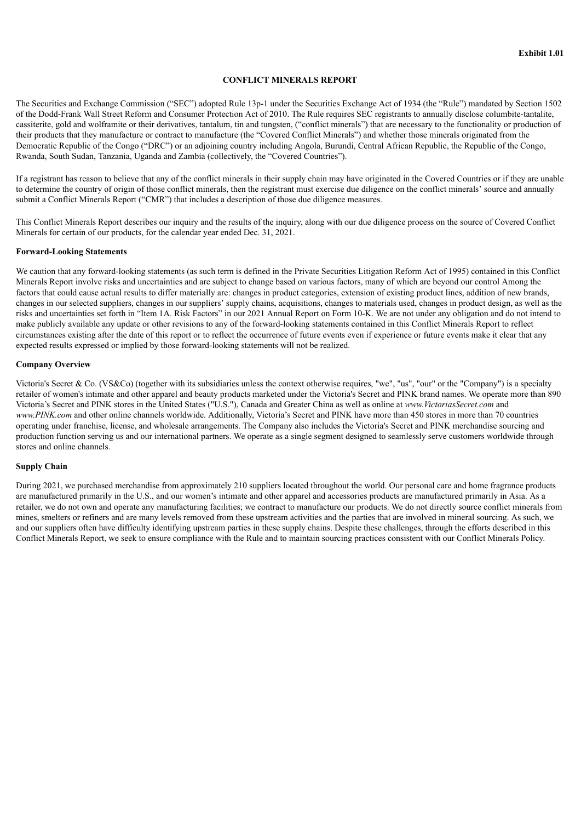# **CONFLICT MINERALS REPORT**

<span id="page-3-0"></span>The Securities and Exchange Commission ("SEC") adopted Rule 13p-1 under the Securities Exchange Act of 1934 (the "Rule") mandated by Section 1502 of the Dodd-Frank Wall Street Reform and Consumer Protection Act of 2010. The Rule requires SEC registrants to annually disclose columbite-tantalite, cassiterite, gold and wolframite or their derivatives, tantalum, tin and tungsten, ("conflict minerals") that are necessary to the functionality or production of their products that they manufacture or contract to manufacture (the "Covered Conflict Minerals") and whether those minerals originated from the Democratic Republic of the Congo ("DRC") or an adjoining country including Angola, Burundi, Central African Republic, the Republic of the Congo, Rwanda, South Sudan, Tanzania, Uganda and Zambia (collectively, the "Covered Countries").

If a registrant has reason to believe that any of the conflict minerals in their supply chain may have originated in the Covered Countries or if they are unable to determine the country of origin of those conflict minerals, then the registrant must exercise due diligence on the conflict minerals' source and annually submit a Conflict Minerals Report ("CMR") that includes a description of those due diligence measures.

This Conflict Minerals Report describes our inquiry and the results of the inquiry, along with our due diligence process on the source of Covered Conflict Minerals for certain of our products, for the calendar year ended Dec. 31, 2021.

#### **Forward-Looking Statements**

We caution that any forward-looking statements (as such term is defined in the Private Securities Litigation Reform Act of 1995) contained in this Conflict Minerals Report involve risks and uncertainties and are subject to change based on various factors, many of which are beyond our control Among the factors that could cause actual results to differ materially are: changes in product categories, extension of existing product lines, addition of new brands, changes in our selected suppliers, changes in our suppliers' supply chains, acquisitions, changes to materials used, changes in product design, as well as the risks and uncertainties set forth in "Item 1A. Risk Factors" in our 2021 Annual Report on Form 10-K. We are not under any obligation and do not intend to make publicly available any update or other revisions to any of the forward-looking statements contained in this Conflict Minerals Report to reflect circumstances existing after the date of this report or to reflect the occurrence of future events even if experience or future events make it clear that any expected results expressed or implied by those forward-looking statements will not be realized.

#### **Company Overview**

Victoria's Secret & Co. (VS&Co) (together with its subsidiaries unless the context otherwise requires, "we", "us", "our" or the "Company") is a specialty retailer of women's intimate and other apparel and beauty products marketed under the Victoria's Secret and PINK brand names. We operate more than 890 Victoria's Secret and PINK stores in the United States ("U.S."), Canada and Greater China as well as online at *www.VictoriasSecret.com* and *www.PINK.com* and other online channels worldwide. Additionally, Victoria's Secret and PINK have more than 450 stores in more than 70 countries operating under franchise, license, and wholesale arrangements. The Company also includes the Victoria's Secret and PINK merchandise sourcing and production function serving us and our international partners. We operate as a single segment designed to seamlessly serve customers worldwide through stores and online channels.

# **Supply Chain**

During 2021, we purchased merchandise from approximately 210 suppliers located throughout the world. Our personal care and home fragrance products are manufactured primarily in the U.S., and our women's intimate and other apparel and accessories products are manufactured primarily in Asia. As a retailer, we do not own and operate any manufacturing facilities; we contract to manufacture our products. We do not directly source conflict minerals from mines, smelters or refiners and are many levels removed from these upstream activities and the parties that are involved in mineral sourcing. As such, we and our suppliers often have difficulty identifying upstream parties in these supply chains. Despite these challenges, through the efforts described in this Conflict Minerals Report, we seek to ensure compliance with the Rule and to maintain sourcing practices consistent with our Conflict Minerals Policy.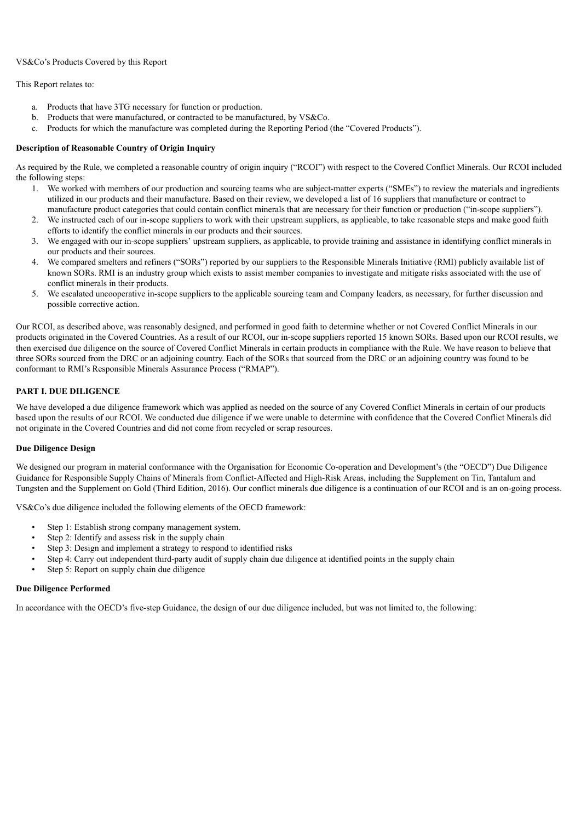### VS&Co's Products Covered by this Report

This Report relates to:

- a. Products that have 3TG necessary for function or production.
- b. Products that were manufactured, or contracted to be manufactured, by VS&Co.
- c. Products for which the manufacture was completed during the Reporting Period (the "Covered Products").

# **Description of Reasonable Country of Origin Inquiry**

As required by the Rule, we completed a reasonable country of origin inquiry ("RCOI") with respect to the Covered Conflict Minerals. Our RCOI included the following steps:

- 1. We worked with members of our production and sourcing teams who are subject-matter experts ("SMEs") to review the materials and ingredients utilized in our products and their manufacture. Based on their review, we developed a list of 16 suppliers that manufacture or contract to manufacture product categories that could contain conflict minerals that are necessary for their function or production ("in-scope suppliers").
- 2. We instructed each of our in-scope suppliers to work with their upstream suppliers, as applicable, to take reasonable steps and make good faith efforts to identify the conflict minerals in our products and their sources.
- 3. We engaged with our in-scope suppliers' upstream suppliers, as applicable, to provide training and assistance in identifying conflict minerals in our products and their sources.
- 4. We compared smelters and refiners ("SORs") reported by our suppliers to the Responsible Minerals Initiative (RMI) publicly available list of known SORs. RMI is an industry group which exists to assist member companies to investigate and mitigate risks associated with the use of conflict minerals in their products.
- 5. We escalated uncooperative in-scope suppliers to the applicable sourcing team and Company leaders, as necessary, for further discussion and possible corrective action.

Our RCOI, as described above, was reasonably designed, and performed in good faith to determine whether or not Covered Conflict Minerals in our products originated in the Covered Countries. As a result of our RCOI, our in-scope suppliers reported 15 known SORs. Based upon our RCOI results, we then exercised due diligence on the source of Covered Conflict Minerals in certain products in compliance with the Rule. We have reason to believe that three SORs sourced from the DRC or an adjoining country. Each of the SORs that sourced from the DRC or an adjoining country was found to be conformant to RMI's Responsible Minerals Assurance Process ("RMAP").

# **PART I. DUE DILIGENCE**

We have developed a due diligence framework which was applied as needed on the source of any Covered Conflict Minerals in certain of our products based upon the results of our RCOI. We conducted due diligence if we were unable to determine with confidence that the Covered Conflict Minerals did not originate in the Covered Countries and did not come from recycled or scrap resources.

### **Due Diligence Design**

We designed our program in material conformance with the Organisation for Economic Co-operation and Development's (the "OECD") Due Diligence Guidance for Responsible Supply Chains of Minerals from Conflict-Affected and High-Risk Areas, including the Supplement on Tin, Tantalum and Tungsten and the Supplement on Gold (Third Edition, 2016). Our conflict minerals due diligence is a continuation of our RCOI and is an on-going process.

VS&Co's due diligence included the following elements of the OECD framework:

- Step 1: Establish strong company management system.
- Step 2: Identify and assess risk in the supply chain
- Step 3: Design and implement a strategy to respond to identified risks
- Step 4: Carry out independent third-party audit of supply chain due diligence at identified points in the supply chain
- Step 5: Report on supply chain due diligence

### **Due Diligence Performed**

In accordance with the OECD's five-step Guidance, the design of our due diligence included, but was not limited to, the following: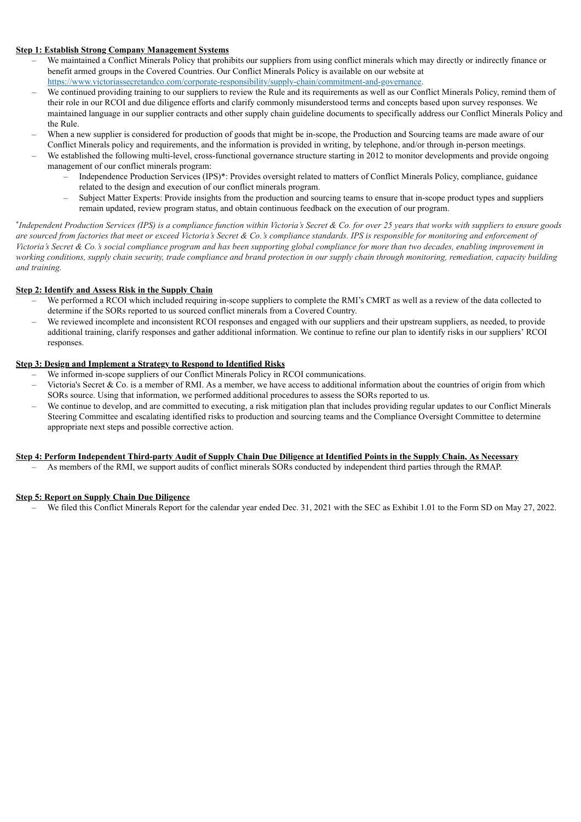# **Step 1: Establish Strong Company Management Systems**

- We maintained a Conflict Minerals Policy that prohibits our suppliers from using conflict minerals which may directly or indirectly finance or benefit armed groups in the Covered Countries. Our Conflict Minerals Policy is available on our website at https://www.victoriassecretandco.com/corporate-responsibility/supply-chain/commitment-and-governance.
- We continued providing training to our suppliers to review the Rule and its requirements as well as our Conflict Minerals Policy, remind them of their role in our RCOI and due diligence efforts and clarify commonly misunderstood terms and concepts based upon survey responses. We maintained language in our supplier contracts and other supply chain guideline documents to specifically address our Conflict Minerals Policy and the Rule.
- When a new supplier is considered for production of goods that might be in-scope, the Production and Sourcing teams are made aware of our Conflict Minerals policy and requirements, and the information is provided in writing, by telephone, and/or through in-person meetings.
- We established the following multi-level, cross-functional governance structure starting in 2012 to monitor developments and provide ongoing management of our conflict minerals program:
	- Independence Production Services (IPS)\*: Provides oversight related to matters of Conflict Minerals Policy, compliance, guidance related to the design and execution of our conflict minerals program.
	- Subject Matter Experts: Provide insights from the production and sourcing teams to ensure that in-scope product types and suppliers remain updated, review program status, and obtain continuous feedback on the execution of our program.

\*Independent Production Services (IPS) is a compliance function within Victoria's Secret & Co. for over 25 years that works with suppliers to ensure goods are sourced from factories that meet or exceed Victoria's Secret & Co.'s compliance standards. IPS is responsible for monitoring and enforcement of Victoria's Secret & Co.'s social compliance program and has been supporting global compliance for more than two decades, enabling improvement in working conditions, supply chain security, trade compliance and brand protection in our supply chain through monitoring, remediation, capacity building *and training.*

# **Step 2: Identify and Assess Risk in the Supply Chain**

- We performed a RCOI which included requiring in-scope suppliers to complete the RMI's CMRT as well as a review of the data collected to determine if the SORs reported to us sourced conflict minerals from a Covered Country.
- We reviewed incomplete and inconsistent RCOI responses and engaged with our suppliers and their upstream suppliers, as needed, to provide additional training, clarify responses and gather additional information. We continue to refine our plan to identify risks in our suppliers' RCOI responses.

# **Step 3: Design and Implement a Strategy to Respond to Identified Risks**

- We informed in-scope suppliers of our Conflict Minerals Policy in RCOI communications.
- Victoria's Secret & Co. is a member of RMI. As a member, we have access to additional information about the countries of origin from which SORs source. Using that information, we performed additional procedures to assess the SORs reported to us.
- We continue to develop, and are committed to executing, a risk mitigation plan that includes providing regular updates to our Conflict Minerals Steering Committee and escalating identified risks to production and sourcing teams and the Compliance Oversight Committee to determine appropriate next steps and possible corrective action.

### Step 4: Perform Independent Third-party Audit of Supply Chain Due Diligence at Identified Points in the Supply Chain, As Necessary

– As members of the RMI, we support audits of conflict minerals SORs conducted by independent third parties through the RMAP.

# **Step 5: Report on Supply Chain Due Diligence**

– We filed this Conflict Minerals Report for the calendar year ended Dec. 31, 2021 with the SEC as Exhibit 1.01 to the Form SD on May 27, 2022.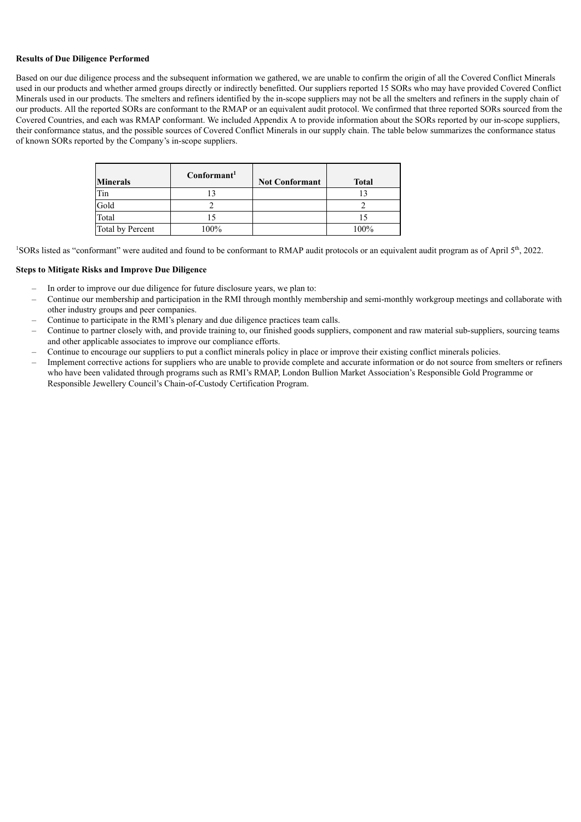#### **Results of Due Diligence Performed**

Based on our due diligence process and the subsequent information we gathered, we are unable to confirm the origin of all the Covered Conflict Minerals used in our products and whether armed groups directly or indirectly benefitted. Our suppliers reported 15 SORs who may have provided Covered Conflict Minerals used in our products. The smelters and refiners identified by the in-scope suppliers may not be all the smelters and refiners in the supply chain of our products. All the reported SORs are conformant to the RMAP or an equivalent audit protocol. We confirmed that three reported SORs sourced from the Covered Countries, and each was RMAP conformant. We included Appendix A to provide information about the SORs reported by our in-scope suppliers, their conformance status, and the possible sources of Covered Conflict Minerals in our supply chain. The table below summarizes the conformance status of known SORs reported by the Company's in-scope suppliers.

| <b>Minerals</b>  | Conformant | <b>Not Conformant</b> | <b>Total</b> |
|------------------|------------|-----------------------|--------------|
| Tin              |            |                       |              |
| Gold             |            |                       |              |
| Total            |            |                       |              |
| Total by Percent | 100%       |                       | 100%         |

<sup>1</sup>SORs listed as "conformant" were audited and found to be conformant to RMAP audit protocols or an equivalent audit program as of April  $5<sup>th</sup>$ , 2022.

#### **Steps to Mitigate Risks and Improve Due Diligence**

- In order to improve our due diligence for future disclosure years, we plan to:
- Continue our membership and participation in the RMI through monthly membership and semi-monthly workgroup meetings and collaborate with other industry groups and peer companies.
- Continue to participate in the RMI's plenary and due diligence practices team calls.
- Continue to partner closely with, and provide training to, our finished goods suppliers, component and raw material sub-suppliers, sourcing teams and other applicable associates to improve our compliance efforts.
- Continue to encourage our suppliers to put a conflict minerals policy in place or improve their existing conflict minerals policies.
- Implement corrective actions for suppliers who are unable to provide complete and accurate information or do not source from smelters or refiners who have been validated through programs such as RMI's RMAP, London Bullion Market Association's Responsible Gold Programme or Responsible Jewellery Council's Chain-of-Custody Certification Program.